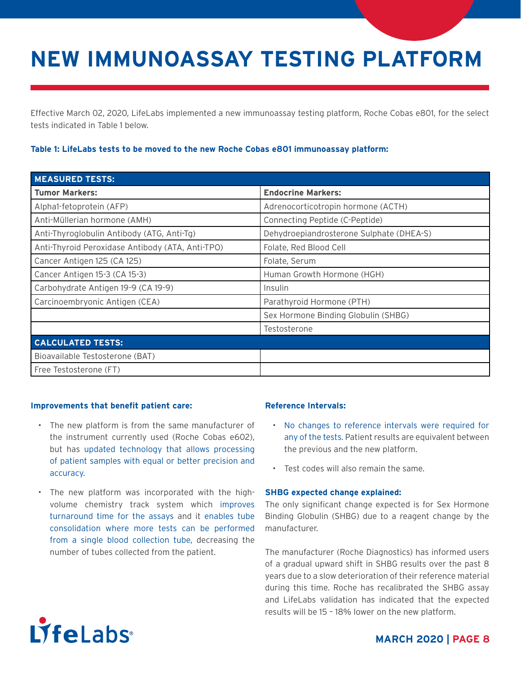# **NEW IMMUNOASSAY TESTING PLATFORM**

Effective March 02, 2020, LifeLabs implemented a new immunoassay testing platform, Roche Cobas e801, for the select tests indicated in Table 1 below.

### **Table 1: LifeLabs tests to be moved to the new Roche Cobas e801 immunoassay platform:**

| <b>MEASURED TESTS:</b>                           |                                          |
|--------------------------------------------------|------------------------------------------|
| <b>Tumor Markers:</b>                            | <b>Endocrine Markers:</b>                |
| Alpha1-fetoprotein (AFP)                         | Adrenocorticotropin hormone (ACTH)       |
| Anti-Müllerian hormone (AMH)                     | Connecting Peptide (C-Peptide)           |
| Anti-Thyroglobulin Antibody (ATG, Anti-Tg)       | Dehydroepiandrosterone Sulphate (DHEA-S) |
| Anti-Thyroid Peroxidase Antibody (ATA, Anti-TPO) | Folate, Red Blood Cell                   |
| Cancer Antigen 125 (CA 125)                      | Folate, Serum                            |
| Cancer Antigen 15-3 (CA 15-3)                    | Human Growth Hormone (HGH)               |
| Carbohydrate Antigen 19-9 (CA 19-9)              | Insulin                                  |
| Carcinoembryonic Antigen (CEA)                   | Parathyroid Hormone (PTH)                |
|                                                  | Sex Hormone Binding Globulin (SHBG)      |
|                                                  | Testosterone                             |
| <b>CALCULATED TESTS:</b>                         |                                          |
| Bioavailable Testosterone (BAT)                  |                                          |
| Free Testosterone (FT)                           |                                          |

#### **Improvements that benefit patient care:**

- The new platform is from the same manufacturer of the instrument currently used (Roche Cobas e602), but has updated technology that allows processing of patient samples with equal or better precision and accuracy.
- The new platform was incorporated with the highvolume chemistry track system which improves turnaround time for the assays and it enables tube consolidation where more tests can be performed from a single blood collection tube, decreasing the number of tubes collected from the patient.

### **Reference Intervals:**

- No changes to reference intervals were required for any of the tests. Patient results are equivalent between the previous and the new platform.
- Test codes will also remain the same.

#### **SHBG expected change explained:**

The only significant change expected is for Sex Hormone Binding Globulin (SHBG) due to a reagent change by the manufacturer.

The manufacturer (Roche Diagnostics) has informed users of a gradual upward shift in SHBG results over the past 8 years due to a slow deterioration of their reference material during this time. Roche has recalibrated the SHBG assay and LifeLabs validation has indicated that the expected results will be 15 – 18% lower on the new platform.



### **MARCH 2020 | PAGE 8**